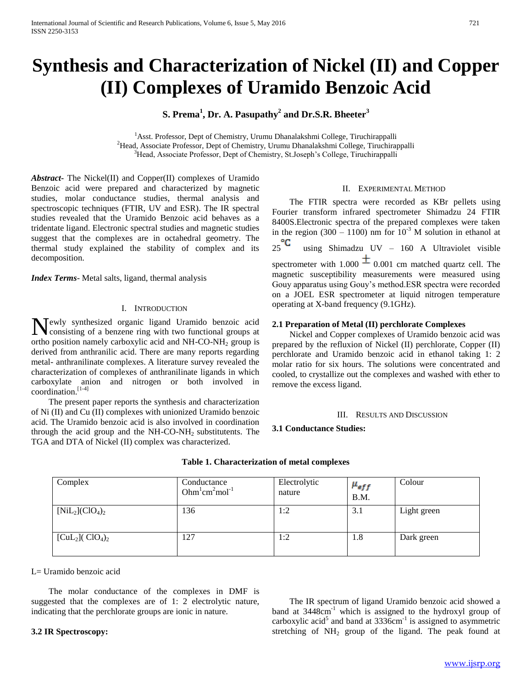# **Synthesis and Characterization of Nickel (II) and Copper (II) Complexes of Uramido Benzoic Acid**

# **S. Prema<sup>1</sup> , Dr. A. Pasupathy<sup>2</sup> and Dr.S.R. Bheeter<sup>3</sup>**

<sup>1</sup>Asst. Professor, Dept of Chemistry, Urumu Dhanalakshmi College, Tiruchirappalli <sup>2</sup>Head, Associate Professor, Dept of Chemistry, Urumu Dhanalakshmi College, Tiruchirappalli <sup>3</sup>Head, Associate Professor, Dept of Chemistry, St.Joseph's College, Tiruchirappalli

*Abstract***-** The Nickel(II) and Copper(II) complexes of Uramido Benzoic acid were prepared and characterized by magnetic studies, molar conductance studies, thermal analysis and spectroscopic techniques (FTIR, UV and ESR). The IR spectral studies revealed that the Uramido Benzoic acid behaves as a tridentate ligand. Electronic spectral studies and magnetic studies suggest that the complexes are in octahedral geometry. The thermal study explained the stability of complex and its decomposition.

*Index Terms*- Metal salts, ligand, thermal analysis

# I. INTRODUCTION

ewly synthesized organic ligand Uramido benzoic acid Newly synthesized organic ligand Uramido benzoic acid consisting of a benzene ring with two functional groups at ortho position namely carboxylic acid and  $NH-CO-NH<sub>2</sub>$  group is derived from anthranilic acid. There are many reports regarding metal- anthranilinate complexes. A literature survey revealed the characterization of complexes of anthranilinate ligands in which carboxylate anion and nitrogen or both involved in coordination.[1-4]

 The present paper reports the synthesis and characterization of Ni (II) and Cu (II) complexes with unionized Uramido benzoic acid. The Uramido benzoic acid is also involved in coordination through the acid group and the  $NH-CO-NH<sub>2</sub>$  substitutents. The TGA and DTA of Nickel (II) complex was characterized.

# II. EXPERIMENTAL METHOD

 The FTIR spectra were recorded as KBr pellets using Fourier transform infrared spectrometer Shimadzu 24 FTIR 8400S.Electronic spectra of the prepared complexes were taken in the region (300 – 1100) nm for  $10^{-3}$  M solution in ethanol at  $25^{\circ}$ C using Shimadzu UV – 160 A Ultraviolet visible spectrometer with 1.000  $\pm$  0.001 cm matched quartz cell. The magnetic susceptibility measurements were measured using Gouy apparatus using Gouy's method.ESR spectra were recorded on a JOEL ESR spectrometer at liquid nitrogen temperature operating at X-band frequency (9.1GHz).

# **2.1 Preparation of Metal (II) perchlorate Complexes**

 Nickel and Copper complexes of Uramido benzoic acid was prepared by the refluxion of Nickel (II) perchlorate, Copper (II) perchlorate and Uramido benzoic acid in ethanol taking 1: 2 molar ratio for six hours. The solutions were concentrated and cooled, to crystallize out the complexes and washed with ether to remove the excess ligand.

### III. RESULTS AND DISCUSSION

## **3.1 Conductance Studies:**

| Complex                                    | Conductance<br>Ohm $\mathrm{m}^1$ cm $\mathrm{m}^2$ mol <sup>-1</sup> | Electrolytic<br>nature | $\mu_{eff}$<br>B.M. | Colour      |
|--------------------------------------------|-----------------------------------------------------------------------|------------------------|---------------------|-------------|
| $[NiL_2]$ (ClO <sub>4</sub> ) <sub>2</sub> | 136                                                                   | 1:2                    | 3.1                 | Light green |
| $[CuL2](ClO4)2$                            | 127                                                                   | 1:2                    | 1.8                 | Dark green  |

### **Table 1. Characterization of metal complexes**

 $L=$  Uramido benzoic acid

 The molar conductance of the complexes in DMF is suggested that the complexes are of 1: 2 electrolytic nature, indicating that the perchlorate groups are ionic in nature.

# **3.2 IR Spectroscopy:**

 The IR spectrum of ligand Uramido benzoic acid showed a band at 3448cm<sup>-1</sup> which is assigned to the hydroxyl group of carboxylic acid<sup>5</sup> and band at  $3336$ cm<sup>-1</sup> is assigned to asymmetric stretching of  $NH_2$  group of the ligand. The peak found at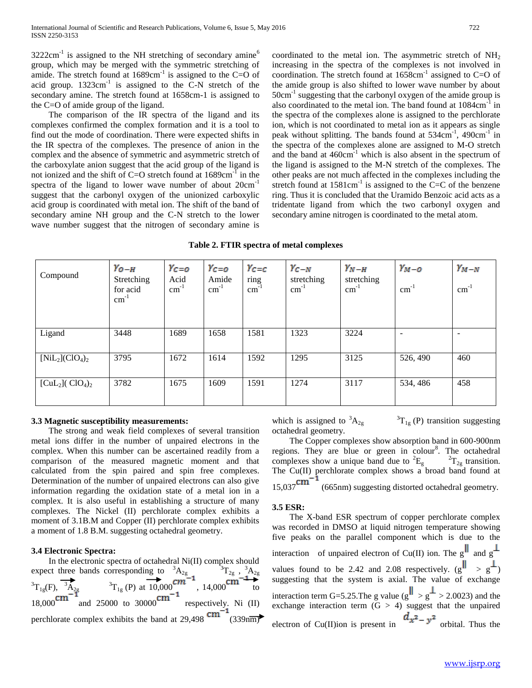$3222 \text{cm}^{-1}$  is assigned to the NH stretching of secondary amine<sup>6</sup> group, which may be merged with the symmetric stretching of amide. The stretch found at  $1689 \text{cm}^{-1}$  is assigned to the C=O of acid group.  $1323 \text{cm}^{-1}$  is assigned to the C-N stretch of the secondary amine. The stretch found at 1658cm-1 is assigned to the C=O of amide group of the ligand.

 The comparison of the IR spectra of the ligand and its complexes confirmed the complex formation and it is a tool to find out the mode of coordination. There were expected shifts in the IR spectra of the complexes. The presence of anion in the complex and the absence of symmetric and asymmetric stretch of the carboxylate anion suggest that the acid group of the ligand is not ionized and the shift of C=O stretch found at  $1689 \text{cm}^{-1}$  in the spectra of the ligand to lower wave number of about  $20 \text{cm}^{-1}$ suggest that the carbonyl oxygen of the unionized carboxylic acid group is coordinated with metal ion. The shift of the band of secondary amine NH group and the C-N stretch to the lower wave number suggest that the nitrogen of secondary amine is

coordinated to the metal ion. The asymmetric stretch of  $NH<sub>2</sub>$ increasing in the spectra of the complexes is not involved in coordination. The stretch found at  $1658 \text{cm}^{-1}$  assigned to C=O of the amide group is also shifted to lower wave number by about 50cm<sup>-1</sup> suggesting that the carbonyl oxygen of the amide group is also coordinated to the metal ion. The band found at 1084cm<sup>-1</sup> in the spectra of the complexes alone is assigned to the perchlorate ion, which is not coordinated to metal ion as it appears as single peak without splitting. The bands found at 534cm<sup>-1</sup>, 490cm<sup>-1</sup> in the spectra of the complexes alone are assigned to M-O stretch and the band at  $460 \text{cm}^{-1}$  which is also absent in the spectrum of the ligand is assigned to the M-N stretch of the complexes. The other peaks are not much affected in the complexes including the stretch found at  $1581 \text{cm}^{-1}$  is assigned to the C=C of the benzene ring. Thus it is concluded that the Uramido Benzoic acid acts as a tridentate ligand from which the two carbonyl oxygen and secondary amine nitrogen is coordinated to the metal atom.

**Table 2. FTIR spectra of metal complexes**

| Compound                                   | $\gamma_{O-H}$<br>Stretching<br>for acid<br>$\text{cm}^{-1}$ | $Y_{C=O}$<br>Acid<br>$cm^{-1}$ | $Y_C = 0$<br>Amide<br>$cm^{-1}$ | $\gamma_{c=c}$<br>ring<br>$\text{cm}^{-1}$ | $\gamma_{C-N}$<br>stretching<br>$cm^{-1}$ | $\gamma_{N-H}$<br>stretching<br>$cm^{-1}$ | $\gamma_{M-O}$<br>$\text{cm}^{-1}$ | $\gamma_{M-N}$<br>$\text{cm}^{-1}$ |
|--------------------------------------------|--------------------------------------------------------------|--------------------------------|---------------------------------|--------------------------------------------|-------------------------------------------|-------------------------------------------|------------------------------------|------------------------------------|
| Ligand                                     | 3448                                                         | 1689                           | 1658                            | 1581                                       | 1323                                      | 3224                                      |                                    | $\overline{\phantom{a}}$           |
| $[NiL_2]$ (ClO <sub>4</sub> ) <sub>2</sub> | 3795                                                         | 1672                           | 1614                            | 1592                                       | 1295                                      | 3125                                      | 526, 490                           | 460                                |
| $[CuL2](ClO4)2$                            | 3782                                                         | 1675                           | 1609                            | 1591                                       | 1274                                      | 3117                                      | 534, 486                           | 458                                |

# **3.3 Magnetic susceptibility measurements:**

 The strong and weak field complexes of several transition metal ions differ in the number of unpaired electrons in the complex. When this number can be ascertained readily from a comparison of the measured magnetic moment and that calculated from the spin paired and spin free complexes. Determination of the number of unpaired electrons can also give information regarding the oxidation state of a metal ion in a complex. It is also useful in establishing a structure of many complexes. The Nickel (II) perchlorate complex exhibits a moment of 3.1B.M and Copper (II) perchlorate complex exhibits a moment of 1.8 B.M. suggesting octahedral geometry.

# **3.4 Electronic Spectra:**

 In the electronic spectra of octahedral Ni(II) complex should expect three bands corresponding to  ${}^{3}A_{2g}$   ${}^{3}T_{2g}$ ,  ${}^{3}A_{2g}$  ${}^{3}T_{1g}(F)$ ,  ${}^{3}\tilde{A}_{2g}$   ${}^{3}T_{1g}(P)$  at  $10,000$   ${}^{cm}$  ,  $14,000$   ${}^{cm}$  to  $18,000$  and  $25000$  to  $30000$  respectively. Ni (II) perchlorate complex exhibits the band at  $29,498 \text{ cm}^{-1}$  (339nm)

which is assigned to  ${}^{3}A_{2g}$  ${}^{3}T_{1g}$  (P) transition suggesting octahedral geometry.

 The Copper complexes show absorption band in 600-900nm regions. They are blue or green in colour<sup>8</sup>. The octahedral complexes show a unique band due to  ${}^{2}E_{g}$   ${}^{2}T_{2g}$  transition. The Cu(II) perchlorate complex shows a broad band found at  $15,037$ <sup>cm<sup>-1</sup> (665nm) suggesting distorted octabedral accuration</sup> (665nm) suggesting distorted octahedral geometry.

### **3.5 ESR:**

 The X-band ESR spectrum of copper perchlorate complex was recorded in DMSO at liquid nitrogen temperature showing five peaks on the parallel component which is due to the interaction of unpaired electron of Cu(II) ion. The g<sup>||</sup> and g<sup> $\perp$ </sup> values found to be 2.42 and 2.08 respectively.  $(g^{\parallel} > g^{\perp})$ suggesting that the system is axial. The value of exchange interaction term G=5.25. The g value  $(g'' > g^+ > 2.0023)$  and the exchange interaction term  $(G > 4)$  suggest that the unpaired electron of Cu(II)ion is present in  $\frac{d^{2}-y^{2}}{dx^{2}-y^{2}}$  orbital. Thus the